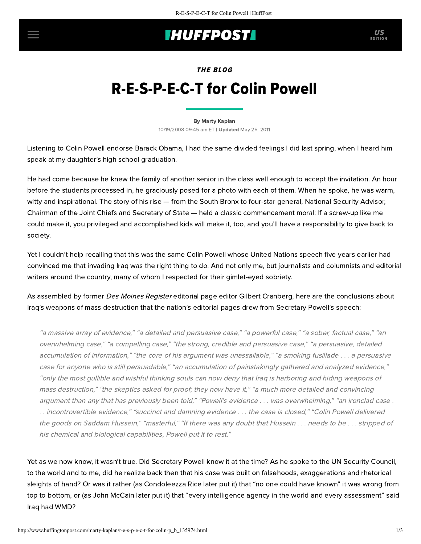## **INUFFPOST**

EDITION

# THE BLOG R-E-S-P-E-C-T for Colin Powell

#### [By Marty Kaplan](http://www.huffingtonpost.com/author/marty-kaplan)

10/19/2008 09:45 am ET | Updated May 25, 2011

Listening to Colin Powell endorse Barack Obama, I had the same divided feelings I did last spring, when I heard him speak at my daughter's high school graduation.

He had come because he knew the family of another senior in the class well enough to accept the invitation. An hour before the students processed in, he graciously posed for a photo with each of them. When he spoke, he was warm, witty and inspirational. The story of his rise — from the South Bronx to four-star general, National Security Advisor, Chairman of the Joint Chiefs and Secretary of State — held a classic commencement moral: If a screw-up like me could make it, you privileged and accomplished kids will make it, too, and you'll have a responsibility to give back to society.

Yet I couldn't help recalling that this was the same Colin Powell whose United Nations speech five years earlier had convinced me that invading Iraq was the right thing to do. And not only me, but journalists and columnists and editorial writers around the country, many of whom I respected for their gimlet-eyed sobriety.

As assembled by former Des Moines Register editorial page editor [Gilbert Cranberg,](http://www.commondreams.org/views03/0629-08.htm) here are the conclusions about Iraq's weapons of mass destruction that the nation's editorial pages drew from Secretary Powell's speech:

"a massive array of evidence," "a detailed and persuasive case," "a powerful case," "a sober, factual case," "an overwhelming case," "a compelling case," "the strong, credible and persuasive case," "a persuasive, detailed accumulation of information," "the core of his argument was unassailable," "a smoking fusillade . . . a persuasive case for anyone who is still persuadable," "an accumulation of painstakingly gathered and analyzed evidence," "only the most gullible and wishful thinking souls can now deny that Iraq is harboring and hiding weapons of mass destruction," "the skeptics asked for proof; they now have it," "a much more detailed and convincing argument than any that has previously been told," "Powell's evidence . . . was overwhelming," "an ironclad case . . . incontrovertible evidence," "succinct and damning evidence . . . the case is closed," "Colin Powell delivered the goods on Saddam Hussein," "masterful," "If there was any doubt that Hussein . . . needs to be . . . stripped of his chemical and biological capabilities, Powell put it to rest."

Yet as we now know, [it wasn't true](http://www.tinyrevolution.com/mt/archives/002063.html). Did Secretary Powell know it at the time? As he spoke to the UN Security Council, to the world and to me, did he realize back then that his case was built on falsehoods, exaggerations and rhetorical sleights of hand? Or was it rather (as Condoleezza Rice later put it) that "no one could have known" it was wrong from top to bottom, or (as John McCain later put it) that "every intelligence agency in the world and every assessment" said Iraq had WMD?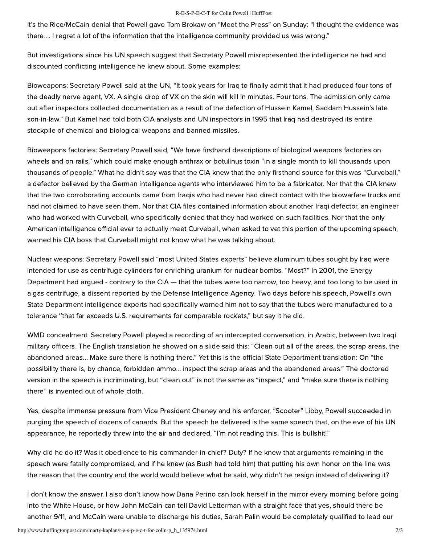#### R-E-S-P-E-C-T for Colin Powell | HuffPost

It's the Rice/McCain denial that Powell gave Tom Brokaw on "Meet the Press" on Sunday: "I thought the evidence was there.... I regret a lot of the information that the intelligence community provided us was wrong."

But [investigations](http://www.commondreams.org/headlines03/0811-09.htm) since his UN speech suggest that Secretary Powell misrepresented the intelligence he had and discounted [conflicting intelligence](http://209.85.173.104/search?q=cache:INgZH6v15fcJ:www.motherjones.com/mb/mt-search.cgi%3Ftag%3DCurveball%26blog_id%3D2+curveball+powell&hl=en&ct=clnk&cd=1&gl=us&client=safari) he knew about. Some examples:

Bioweapons: Secretary Powell said at the UN, "It took years for Iraq to finally admit that it had produced four tons of the deadly nerve agent, VX. A single drop of VX on the skin will kill in minutes. Four tons. The admission only came out after inspectors collected documentation as a result of the defection of Hussein Kamel, Saddam Hussein's late son-in-law." But [Kamel had told](http://www.fair.org/index.php?page=1845) both CIA analysts and UN inspectors in 1995 that Iraq had destroyed its entire stockpile of chemical and biological weapons and banned missiles.

Bioweapons factories: Secretary Powell said, "We have firsthand descriptions of biological weapons factories on wheels and on rails," which could make enough anthrax or botulinus toxin "in a single month to kill thousands upon thousands of people." What he didn't say was that the [CIA knew](http://www.washingtonpost.com/wp-dyn/content/article/2006/04/11/AR2006041101888.html) that the only firsthand source for this was "Curveball," a defector believed by the German intelligence agents who interviewed him to be a fabricator. Nor that the [CIA knew](http://www.informationclearinghouse.info/article5958.htm) that the two corroborating accounts came from Iraqis who had never had direct contact with the biowarfare trucks and had not claimed to have seen them. Nor that CIA files contained information about another Iraqi defector, an engineer who had worked with Curveball, who specifically denied that they had worked on such facilities. Nor that the only American intelligence official ever to actually meet Curveball, when asked to vet this portion of the upcoming speech, warned his CIA boss that Curveball might not know what he was talking about.

Nuclear weapons: Secretary Powell said "most United States experts" believe aluminum tubes sought by Iraq were intended for use as centrifuge cylinders for enriching uranium for nuclear bombs. "Most?" In 2001, the Energy [Department had argued - contrary to the CIA — that the tubes were too narrow, too heavy, and too long to be](http://www.historycommons.org/context.jsp?item=complete_timeline_of_the_2003_invasion_of_iraq_1219) used in a gas centrifuge, a dissent reported by the Defense Intelligence Agency. Two days before his speech, Powell's own State Department intelligence [experts had specifically warned him](http://query.nytimes.com/gst/fullpage.html?res=9907E1D61038F930A35753C1A9629C8B63) not to say that the tubes were manufactured to a tolerance ''that far exceeds U.S. requirements for comparable rockets," but say it he did.

WMD concealment: Secretary Powell played a recording of an intercepted conversation, in Arabic, between two Iraqi military officers. The English translation he showed on a slide said this: "Clean out all of the areas, the scrap areas, the abandoned areas... Make sure there is nothing there." Yet this is the [official State Department translation:](http://cjrarchives.org/issues/2004/1/cranberg-powell.asp) On "the possibility there is, by chance, forbidden ammo... inspect the scrap areas and the abandoned areas." The doctored version in the speech is incriminating, but "clean out" is not the same as "inspect," and "make sure there is nothing there" is invented out of whole cloth.

Yes, despite immense [pressure from Vice President Cheney](http://www.truthdig.com/report/item/20060411_bush_leak_plame_libby_powell/) and his enforcer, "Scooter" Libby, Powell succeeded in purging the speech of dozens of canards. But the speech he delivered is the same speech that, on the eve of his UN appearance, he [reportedly](http://www.guardian.co.uk/world/2003/jun/02/usa.iraq) threw into the air and declared, "I'm not reading this. This is bullshit!"

Why did he do it? Was it obedience to his commander-in-chief? Duty? If he knew that arguments remaining in the speech were fatally compromised, and if he knew (as Bush had told him) that putting his own honor on the line was the reason that the country and the world would believe what he said, why didn't he resign instead of delivering it?

I don't know the answer. I also don't know how Dana Perino can look herself in the mirror every morning before going into the White House, or how John McCain can tell David Letterman with a straight face that yes, should there be another 9/11, and McCain were unable to discharge his duties, Sarah Palin would be completely qualified to lead our